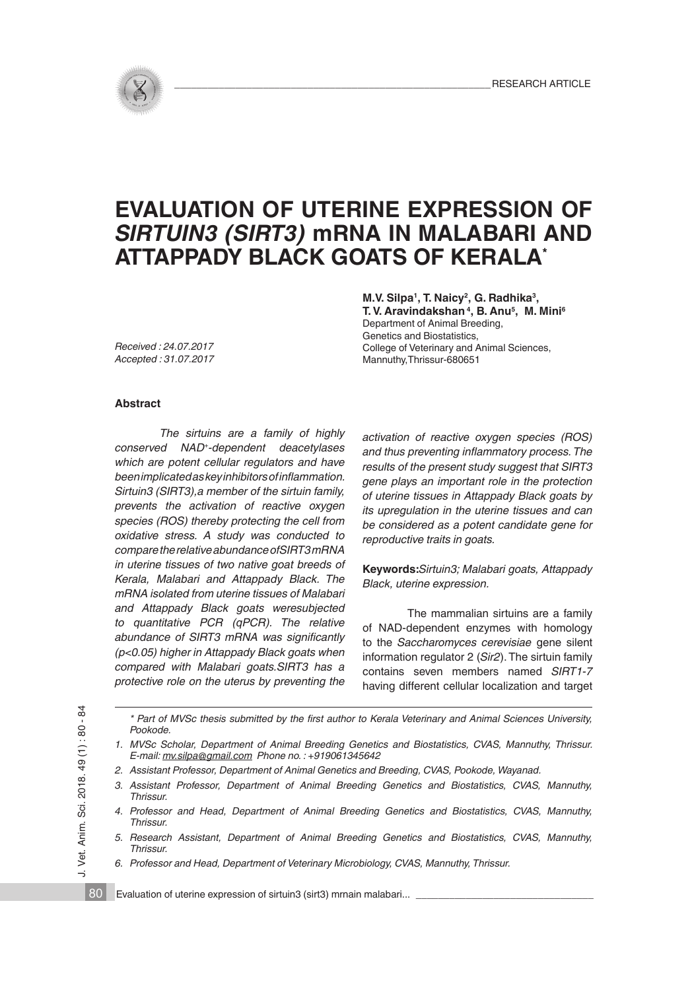

# **EVALUATION OF UTERINE EXPRESSION OF**  *SIRTUIN3 (SIRT3)* **mRNA IN MALABARI AND ATTAPPADY BLACK GOATS OF KERALA\***

**M.V. Silpa1, T. Naicy2, G. Radhika3, T. V. Aravindakshan 4, B. Anu5, M. Mini6**

Department of Animal Breeding, Genetics and Biostatistics, College of Veterinary and Animal Sciences, Mannuthy,Thrissur-680651

*Received : 24.07.2017 Accepted : 31.07.2017*

#### **Abstract**

*The sirtuins are a family of highly conserved NAD+-dependent deacetylases which are potent cellular regulators and have beenimplicatedaskeyinhibitorsofinflammation. Sirtuin3 (SIRT3),a member of the sirtuin family, prevents the activation of reactive oxygen species (ROS) thereby protecting the cell from oxidative stress. A study was conducted to comparetherelativeabundanceofSIRT3mRNA in uterine tissues of two native goat breeds of Kerala, Malabari and Attappady Black. The mRNA isolated from uterine tissues of Malabari and Attappady Black goats weresubjected to quantitative PCR (qPCR). The relative abundance of SIRT3 mRNA was significantly (p<0.05) higher in Attappady Black goats when compared with Malabari goats.SIRT3 has a protective role on the uterus by preventing the*

*activation of reactive oxygen species (ROS) and thus preventing inflammatory process.The results of the present study suggest that SIRT3 gene plays an important role in the protection of uterine tissues in Attappady Black goats by its upregulation in the uterine tissues and can be considered as a potent candidate gene for reproductive traits in goats.*

**Keywords:***Sirtuin3; Malabari goats, Attappady Black, uterine expression.*

The mammalian sirtuins are a family of NAD-dependent enzymes with homology to the *Saccharomyces cerevisiae* gene silent information regulator 2 (*Sir2*). The sirtuin family contains seven members named *SIRT1-7* having different cellular localization and target

80

\* Part of MVSc thesis submitted by the first author to Kerala Veterinary and Animal Sciences University. *Pookode.*

*1. MVSc Scholar, Department of Animal Breeding Genetics and Biostatistics, CVAS, Mannuthy, Thrissur. E-mail: mv.silpa@gmail.com Phone no. : +919061345642*

- *2. Assistant Professor, Department of Animal Genetics and Breeding, CVAS, Pookode, Wayanad.*
- *3. Assistant Professor, Department of Animal Breeding Genetics and Biostatistics, CVAS, Mannuthy, Thrissur.*
- *4. Professor and Head, Department of Animal Breeding Genetics and Biostatistics, CVAS, Mannuthy, Thrissur.*
- *5. Research Assistant, Department of Animal Breeding Genetics and Biostatistics, CVAS, Mannuthy, Thrissur.*
- *6. Professor and Head, Department of Veterinary Microbiology, CVAS, Mannuthy, Thrissur.*

Evaluation of uterine expression of sirtuin3 (sirt3) mrnain malabari...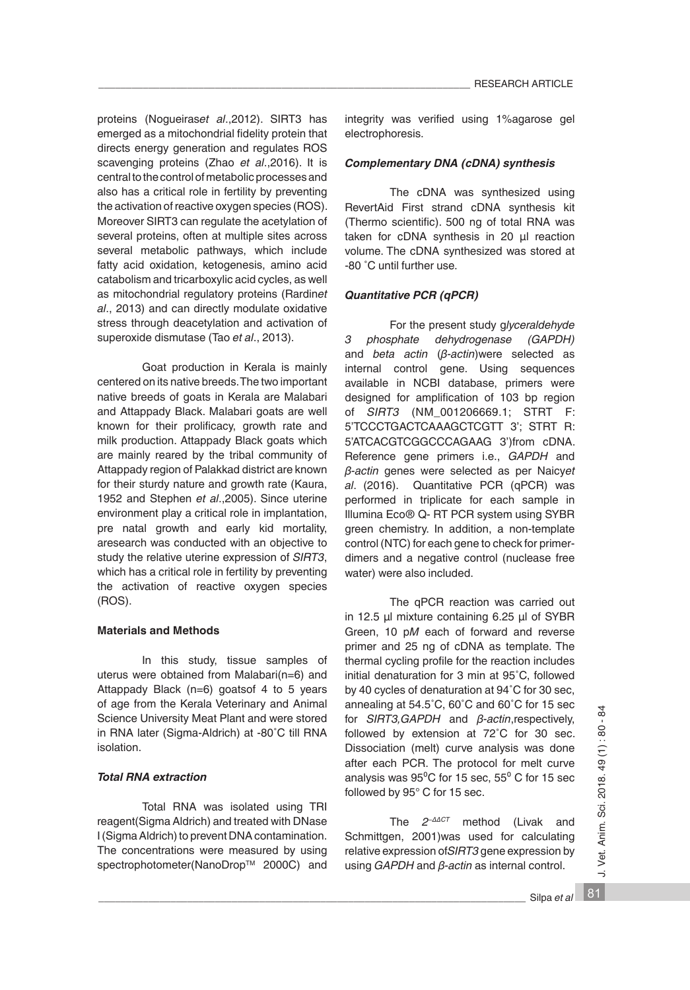proteins (Nogueiras*et al*.,2012). SIRT3 has emerged as a mitochondrial fidelity protein that directs energy generation and regulates ROS scavenging proteins (Zhao *et al*.,2016). It is central to the control of metabolic processes and also has a critical role in fertility by preventing the activation of reactive oxygen species (ROS). Moreover SIRT3 can regulate the acetylation of several proteins, often at multiple sites across several metabolic pathways, which include fatty acid oxidation, ketogenesis, amino acid catabolism and tricarboxylic acid cycles, as well as mitochondrial regulatory proteins (Rardin*et al*., 2013) and can directly modulate oxidative stress through deacetylation and activation of superoxide dismutase (Tao *et al*., 2013).

Goat production in Kerala is mainly centered on its native breeds. The two important native breeds of goats in Kerala are Malabari and Attappady Black. Malabari goats are well known for their prolificacy, growth rate and milk production. Attappady Black goats which are mainly reared by the tribal community of Attappady region of Palakkad district are known for their sturdy nature and growth rate (Kaura, 1952 and Stephen *et al*.,2005). Since uterine environment play a critical role in implantation, pre natal growth and early kid mortality, aresearch was conducted with an objective to study the relative uterine expression of *SIRT3*, which has a critical role in fertility by preventing the activation of reactive oxygen species (ROS).

#### **Materials and Methods**

In this study, tissue samples of uterus were obtained from Malabari(n=6) and Attappady Black (n=6) goatsof 4 to 5 years of age from the Kerala Veterinary and Animal Science University Meat Plant and were stored in RNA later (Sigma-Aldrich) at -80˚C till RNA isolation.

### *Total RNA extraction*

Total RNA was isolated using TRI reagent(Sigma Aldrich) and treated with DNase I (Sigma Aldrich) to prevent DNA contamination. The concentrations were measured by using spectrophotometer(NanoDrop™ 2000C) and integrity was verified using 1%agarose gel electrophoresis.

#### *Complementary DNA (cDNA) synthesis*

The cDNA was synthesized using RevertAid First strand cDNA synthesis kit (Thermo scientific). 500 ng of total RNA was taken for cDNA synthesis in 20 µl reaction volume. The cDNA synthesized was stored at -80 ˚C until further use.

### *Quantitative PCR (qPCR)*

For the present study g*lyceraldehyde 3 phosphate dehydrogenase (GAPDH)* and *beta actin* (*β-actin*)were selected as internal control gene. Using sequences available in NCBI database, primers were designed for amplification of 103 bp region of *SIRT3* (NM\_001206669.1; STRT F: 5'TCCCTGACTCAAAGCTCGTT 3'; STRT R: 5'ATCACGTCGGCCCAGAAG 3')from cDNA. Reference gene primers i.e., *GAPDH* and *β-actin* genes were selected as per Naicy*et al*. (2016). Quantitative PCR (qPCR) was performed in triplicate for each sample in Illumina Eco® Q- RT PCR system using SYBR green chemistry. In addition, a non-template control (NTC) for each gene to check for primerdimers and a negative control (nuclease free water) were also included.

The qPCR reaction was carried out in 12.5 μl mixture containing 6.25 μl of SYBR Green, 10 p*M* each of forward and reverse primer and 25 ng of cDNA as template. The thermal cycling profile for the reaction includes initial denaturation for 3 min at 95˚C, followed by 40 cycles of denaturation at 94˚C for 30 sec, annealing at 54.5˚C, 60˚C and 60˚C for 15 sec for *SIRT3,GAPDH* and *β-actin*,respectively, followed by extension at 72˚C for 30 sec. Dissociation (melt) curve analysis was done after each PCR. The protocol for melt curve analysis was  $95^{\circ}$ C for 15 sec,  $55^{\circ}$  C for 15 sec followed by 95° C for 15 sec.

The *2−ΔΔCT* method (Livak and Schmittgen, 2001)was used for calculating relative expression of*SIRT3* gene expression by using *GAPDH* and *β-actin* as internal control.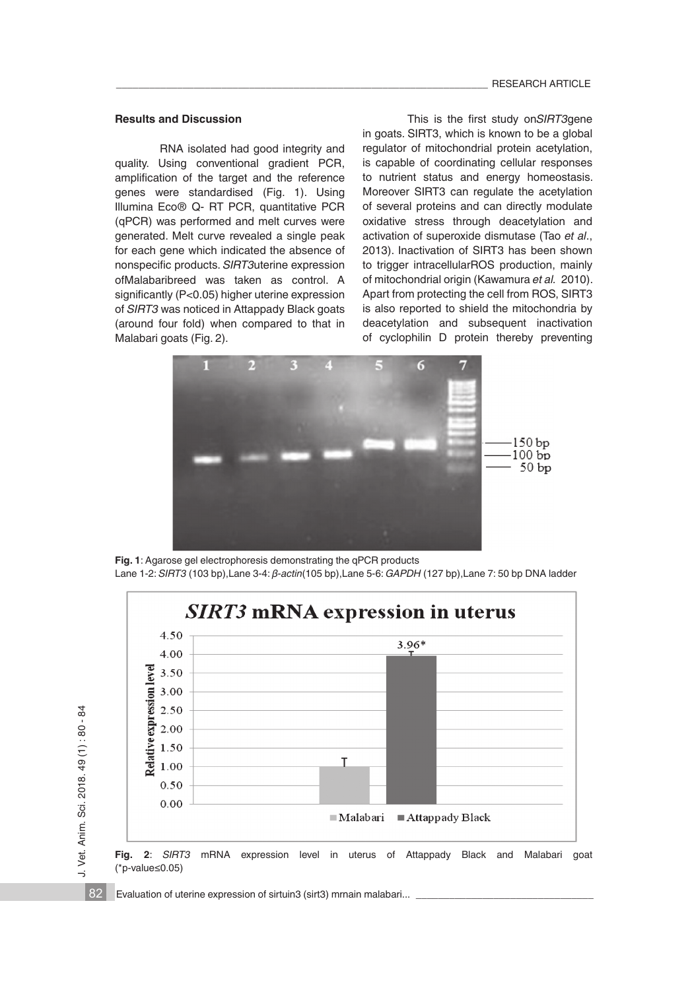#### **Results and Discussion**

RNA isolated had good integrity and quality. Using conventional gradient PCR, amplification of the target and the reference genes were standardised (Fig. 1). Using Illumina Eco® Q- RT PCR, quantitative PCR (qPCR) was performed and melt curves were generated. Melt curve revealed a single peak for each gene which indicated the absence of nonspecific products. *SIRT3*uterine expression ofMalabaribreed was taken as control. A significantly (P<0.05) higher uterine expression of *SIRT3* was noticed in Attappady Black goats (around four fold) when compared to that in Malabari goats (Fig. 2).

This is the first study on*SIRT3*gene in goats. SIRT3, which is known to be a global regulator of mitochondrial protein acetylation, is capable of coordinating cellular responses to nutrient status and energy homeostasis. Moreover SIRT3 can regulate the acetylation of several proteins and can directly modulate oxidative stress through deacetylation and activation of superoxide dismutase (Tao *et al*., 2013). Inactivation of SIRT3 has been shown to trigger intracellularROS production, mainly of mitochondrial origin (Kawamura *et al.* 2010). Apart from protecting the cell from ROS, SIRT3 is also reported to shield the mitochondria by deacetylation and subsequent inactivation of cyclophilin D protein thereby preventing



**Fig. 1**: Agarose gel electrophoresis demonstrating the qPCR products Lane 1-2: *SIRT3* (103 bp),Lane 3-4: *β-actin*(105 bp),Lane 5-6: *GAPDH* (127 bp),Lane 7: 50 bp DNA ladder



Evaluation of uterine expression of sirtuin3 (sirt3) mrnain malabari...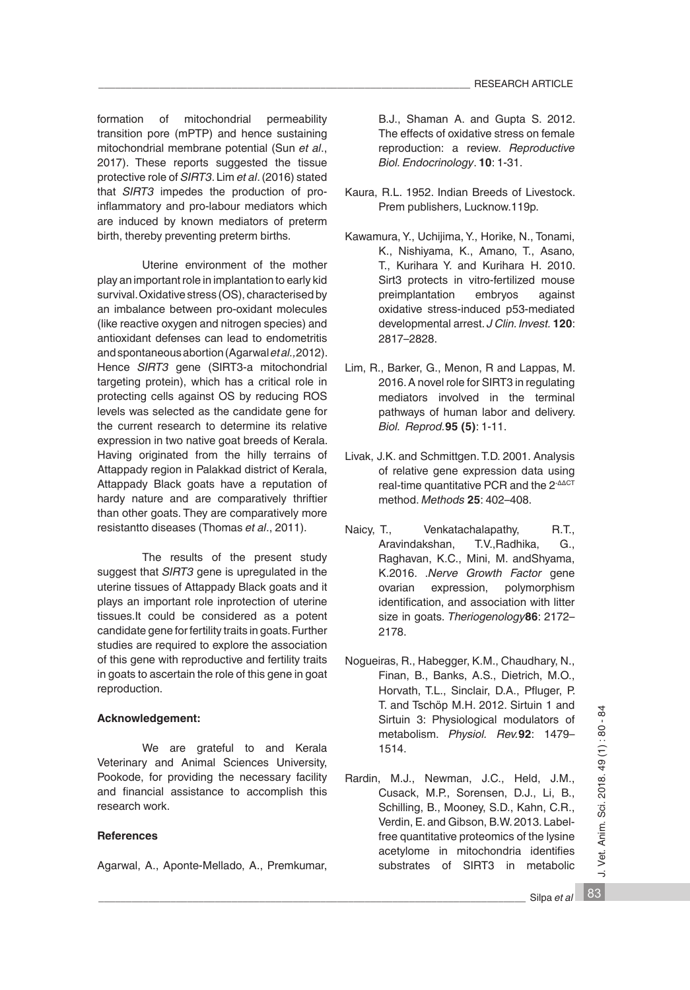formation of mitochondrial permeability transition pore (mPTP) and hence sustaining mitochondrial membrane potential (Sun *et al*., 2017). These reports suggested the tissue protective role of *SIRT3*. Lim *et al*. (2016) stated that *SIRT3* impedes the production of proinflammatory and pro-labour mediators which are induced by known mediators of preterm birth, thereby preventing preterm births.

Uterine environment of the mother play an important role in implantation to early kid survival. Oxidative stress (OS), characterised by an imbalance between pro-oxidant molecules (like reactive oxygen and nitrogen species) and antioxidant defenses can lead to endometritis and spontaneous abortion (Agarwal *etal.,*2012). Hence *SIRT3* gene (SIRT3-a mitochondrial targeting protein), which has a critical role in protecting cells against OS by reducing ROS levels was selected as the candidate gene for the current research to determine its relative expression in two native goat breeds of Kerala. Having originated from the hilly terrains of Attappady region in Palakkad district of Kerala, Attappady Black goats have a reputation of hardy nature and are comparatively thriftier than other goats. They are comparatively more resistantto diseases (Thomas *et al*., 2011).

The results of the present study suggest that *SIRT3* gene is upregulated in the uterine tissues of Attappady Black goats and it plays an important role inprotection of uterine tissues.It could be considered as a potent candidate gene for fertility traits in goats. Further studies are required to explore the association of this gene with reproductive and fertility traits in goats to ascertain the role of this gene in goat reproduction.

### **Acknowledgement:**

We are grateful to and Kerala Veterinary and Animal Sciences University, Pookode, for providing the necessary facility and financial assistance to accomplish this research work.

## **References**

Agarwal, A., Aponte-Mellado, A., Premkumar,

B.J., Shaman A. and Gupta S. 2012. The effects of oxidative stress on female reproduction: a review. *Reproductive Biol. Endocrinology*. **10**: 1-31.

- Kaura, R.L. 1952. Indian Breeds of Livestock. Prem publishers, Lucknow.119p.
- Kawamura, Y., Uchijima, Y., Horike, N., Tonami, K., Nishiyama, K., Amano, T., Asano, T., Kurihara Y. and Kurihara H. 2010. Sirt3 protects in vitro-fertilized mouse<br>preimplantation embryos against preimplantation embryos against oxidative stress-induced p53-mediated developmental arrest. *J Clin. Invest.* **120**: 2817–2828.
- Lim, R., Barker, G., Menon, R and Lappas, M. 2016. A novel role for SIRT3 in regulating mediators involved in the terminal pathways of human labor and delivery. *Biol. Reprod.***95 (5)**: 1-11.
- Livak, J.K. and Schmittgen. T.D. 2001. Analysis of relative gene expression data using real-time quantitative PCR and the 2<sup>-ΔΔCT</sup> method. *Methods* **25**: 402–408.
- Naicy, T., Venkatachalapathy, R.T., Aravindakshan, T.V.,Radhika, G., Raghavan, K.C., Mini, M. andShyama, K.2016. .*Nerve Growth Factor* gene ovarian expression, polymorphism identification, and association with litter size in goats. *Theriogenology***86**: 2172– 2178.
- Nogueiras, R., Habegger, K.M., Chaudhary, N., Finan, B., Banks, A.S., Dietrich, M.O., Horvath, T.L., Sinclair, D.A., Pfluger, P. T. and Tschöp M.H. 2012. Sirtuin 1 and Sirtuin 3: Physiological modulators of metabolism. *Physiol. Rev.***92**: 1479– 1514.
- Rardin, M.J., Newman, J.C., Held, J.M., Cusack, M.P., Sorensen, D.J., Li, B., Schilling, B., Mooney, S.D., Kahn, C.R., Verdin, E. and Gibson, B.W. 2013. Labelfree quantitative proteomics of the lysine acetylome in mitochondria identifies substrates of SIRT3 in metabolic